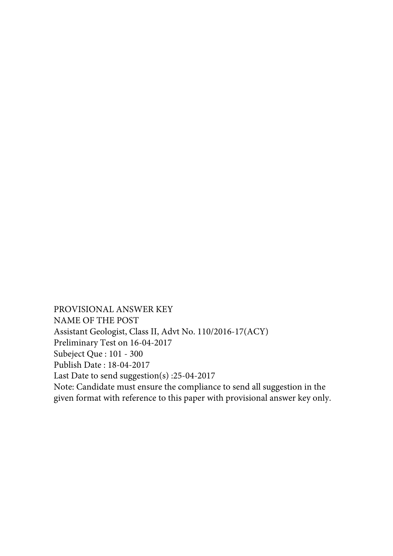PROVISIONAL ANSWER KEY NAME OF THE POST Assistant Geologist, Class II, Advt No. 110/2016-17(ACY) Preliminary Test on 16-04-2017 Subeject Que : 101 - 300 Publish Date : 18-04-2017 Last Date to send suggestion(s) :25-04-2017 Note: Candidate must ensure the compliance to send all suggestion in the given format with reference to this paper with provisional answer key only.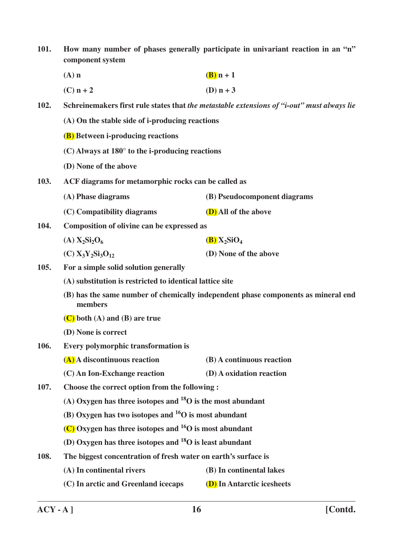| 101.                                                                                                                                                     | How many number of phases generally participate in univariant reaction in an "n"<br>component system |                                                                                            |
|----------------------------------------------------------------------------------------------------------------------------------------------------------|------------------------------------------------------------------------------------------------------|--------------------------------------------------------------------------------------------|
|                                                                                                                                                          | $(A)$ n                                                                                              | $(B)$ n + 1                                                                                |
|                                                                                                                                                          | $(C)$ n + 2                                                                                          | $(D)$ n + 3                                                                                |
| 102.                                                                                                                                                     |                                                                                                      | Schreinemakers first rule states that the metastable extensions of "i-out" must always lie |
|                                                                                                                                                          | (A) On the stable side of i-producing reactions                                                      |                                                                                            |
|                                                                                                                                                          | <b>(B)</b> Between i-producing reactions                                                             |                                                                                            |
|                                                                                                                                                          | $(C)$ Always at 180 $^{\circ}$ to the i-producing reactions                                          |                                                                                            |
|                                                                                                                                                          | (D) None of the above                                                                                |                                                                                            |
| 103.                                                                                                                                                     | ACF diagrams for metamorphic rocks can be called as                                                  |                                                                                            |
|                                                                                                                                                          | (A) Phase diagrams                                                                                   | (B) Pseudocomponent diagrams                                                               |
|                                                                                                                                                          | (C) Compatibility diagrams                                                                           | <b>(D)</b> All of the above                                                                |
| 104.                                                                                                                                                     | Composition of olivine can be expressed as                                                           |                                                                                            |
|                                                                                                                                                          | (A) $X_2Si_2O_6$                                                                                     | $(B)$ X <sub>2</sub> SiO <sub>4</sub>                                                      |
|                                                                                                                                                          | (C) $X_3Y_2Si_3O_{12}$                                                                               | (D) None of the above                                                                      |
| 105.                                                                                                                                                     | For a simple solid solution generally                                                                |                                                                                            |
| (A) substitution is restricted to identical lattice site<br>(B) has the same number of chemically independent phase components as mineral end<br>members |                                                                                                      |                                                                                            |
|                                                                                                                                                          |                                                                                                      |                                                                                            |
|                                                                                                                                                          | $(C)$ both $(A)$ and $(B)$ are true                                                                  |                                                                                            |
|                                                                                                                                                          | (D) None is correct                                                                                  |                                                                                            |
| 106.                                                                                                                                                     | <b>Every polymorphic transformation is</b>                                                           |                                                                                            |
|                                                                                                                                                          | (A) A discontinuous reaction                                                                         | (B) A continuous reaction                                                                  |
|                                                                                                                                                          | (C) An Ion-Exchange reaction                                                                         | (D) A oxidation reaction                                                                   |
| 107.                                                                                                                                                     | Choose the correct option from the following:                                                        |                                                                                            |
|                                                                                                                                                          | (A) Oxygen has three isotopes and $^{18}O$ is the most abundant                                      |                                                                                            |
|                                                                                                                                                          | (B) Oxygen has two isotopes and $^{16}$ O is most abundant                                           |                                                                                            |
|                                                                                                                                                          | (C) Oxygen has three isotopes and ${}^{16}O$ is most abundant                                        |                                                                                            |
|                                                                                                                                                          | (D) Oxygen has three isotopes and $^{18}O$ is least abundant                                         |                                                                                            |
| 108.                                                                                                                                                     | The biggest concentration of fresh water on earth's surface is                                       |                                                                                            |
|                                                                                                                                                          | (A) In continental rivers                                                                            | (B) In continental lakes                                                                   |
|                                                                                                                                                          | (C) In arctic and Greenland icecaps                                                                  | <b>(D)</b> In Antarctic icesheets                                                          |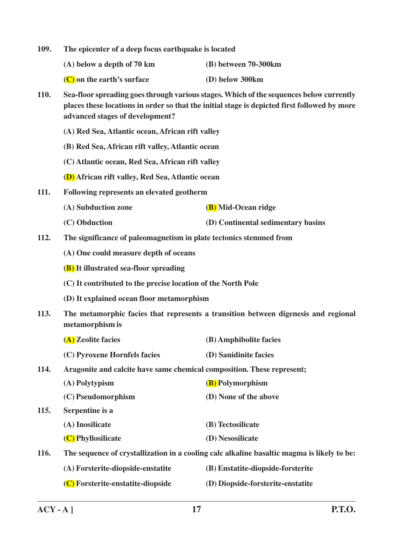| 109. |  | The epicenter of a deep focus earthquake is located |
|------|--|-----------------------------------------------------|
|      |  |                                                     |

|  | $(A)$ below a depth of 70 km | (B) between 70-300km |
|--|------------------------------|----------------------|
|--|------------------------------|----------------------|

- **(C) on the earth's surface (D) below 300km**
- **110. Sea-floor spreading goes through various stages. Which of the sequences below currently places these locations in order so that the initial stage is depicted first followed by more advanced stages of development?**
	- **(A) Red Sea, Atlantic ocean, African rift valley**
	- **(B) Red Sea, African rift valley, Atlantic ocean**
	- **(C) Atlantic ocean, Red Sea, African rift valley**

**(D) African rift valley, Red Sea, Atlantic ocean**

- **111. Following represents an elevated geotherm**
	- **(A) Subduction zone (B) Mid-Ocean ridge**
	- **(C) Obduction (D) Continental sedimentary basins**
- **112. The significance of paleomagnetism in plate tectonics stemmed from**
	- **(A) One could measure depth of oceans**
	- **(B) It illustrated sea-floor spreading**
	- **(C) It contributed to the precise location of the North Pole**
	- **(D) It explained ocean floor metamorphism**
- **113. The metamorphic facies that represents a transition between digenesis and regional metamorphism is**
	- **(A) Zeolite facies (B) Amphibolite facies (C) Pyroxene Hornfels facies (D) Sanidinite facies**

## **114. Aragonite and calcite have same chemical composition. These represent;**

|      | (A) Polytypism     | <b>(B)</b> Polymorphism                                                                    |
|------|--------------------|--------------------------------------------------------------------------------------------|
|      | (C) Pseudomorphism | (D) None of the above                                                                      |
| 115. | Serpentine is a    |                                                                                            |
|      | (A) Inosilicate    | (B) Tectosilicate                                                                          |
|      | (C) Phyllosilicate | (D) Nesosilicate                                                                           |
| 116. |                    | The sequence of crystallization in a cooling calc alkaline basaltic magma is likely to be: |

- **(A) Forsterite-diopside-enstatite (B) Enstatite-diopside-forsterite**
- **(C) Forsterite-enstatite-diopside (D) Diopside-forsterite-enstatite**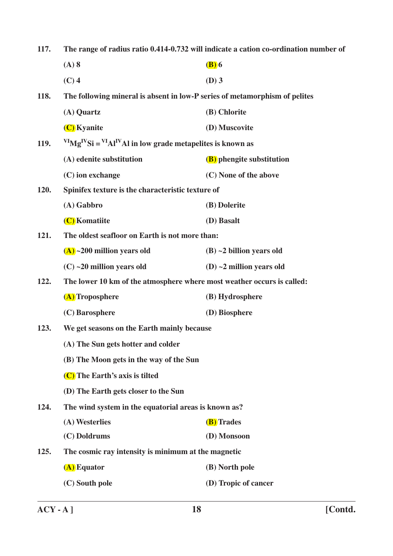**117. The range of radius ratio 0.414-0.732 will indicate a cation co-ordination number of (A) 8 (B) 6 (C) 4 (D) 3 118. The following mineral is absent in low-P series of metamorphism of pelites (A) Quartz (B) Chlorite (C) Kyanite (D) Muscovite** 119. **V<sub>I</sub>Mg**<sup>IV</sup>**Si** = <sup>VI</sup>**A**<sub>I</sub><sup>IV</sup>**A**<sub>I</sub> in low grade metapelites is known as **(A) edenite substitution (B) phengite substitution (C) ion exchange (C) None of the above 120. Spinifex texture is the characteristic texture of (A) Gabbro (B) Dolerite (C) Komatiite (D) Basalt 121. The oldest seafloor on Earth is not more than: (A) ~200 million years old (B) ~2 billion years old (C) ~20 million years old (D) ~2 million years old 122. The lower 10 km of the atmosphere where most weather occurs is called: (A) Troposphere (B) Hydrosphere (C) Barosphere (D) Biosphere 123. We get seasons on the Earth mainly because (A) The Sun gets hotter and colder (B) The Moon gets in the way of the Sun (C) The Earth's axis is tilted (D) The Earth gets closer to the Sun 124. The wind system in the equatorial areas is known as? (A) Westerlies (B) Trades (C) Doldrums (D) Monsoon 125. The cosmic ray intensity is minimum at the magnetic (A) Equator (B) North pole (C) South pole (D) Tropic of cancer**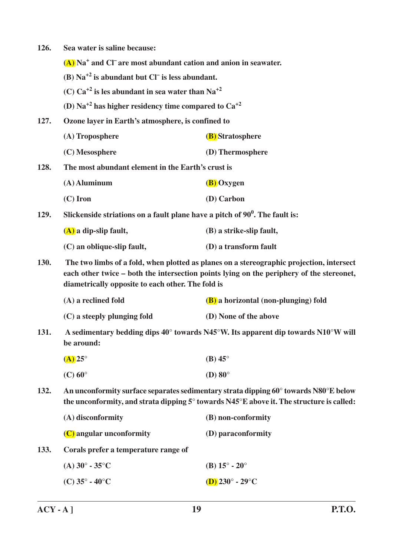|      | $(A)$ Na <sup>+</sup> and Cl <sup>-</sup> are most abundant cation and anion in seawater.                                                                                                                                                 |                                             |
|------|-------------------------------------------------------------------------------------------------------------------------------------------------------------------------------------------------------------------------------------------|---------------------------------------------|
|      | (B) $Na^{+2}$ is abundant but Cl <sup>-</sup> is less abundant.                                                                                                                                                                           |                                             |
|      | (C) $Ca^{+2}$ is les abundant in sea water than Na <sup>+2</sup>                                                                                                                                                                          |                                             |
|      | (D) Na <sup>+2</sup> has higher residency time compared to $Ca^{+2}$                                                                                                                                                                      |                                             |
| 127. | Ozone layer in Earth's atmosphere, is confined to                                                                                                                                                                                         |                                             |
|      | (A) Troposphere                                                                                                                                                                                                                           | <b>(B)</b> Stratosphere                     |
|      | (C) Mesosphere                                                                                                                                                                                                                            | (D) Thermosphere                            |
| 128. | The most abundant element in the Earth's crust is                                                                                                                                                                                         |                                             |
|      | $(A)$ Aluminum                                                                                                                                                                                                                            | (B) Oxygen                                  |
|      | $(C)$ Iron                                                                                                                                                                                                                                | (D) Carbon                                  |
| 129. | Slickenside striations on a fault plane have a pitch of $90^0$ . The fault is:                                                                                                                                                            |                                             |
|      | (A) a dip-slip fault,                                                                                                                                                                                                                     | (B) a strike-slip fault,                    |
|      | (C) an oblique-slip fault,                                                                                                                                                                                                                | (D) a transform fault                       |
| 130. | The two limbs of a fold, when plotted as planes on a stereographic projection, intersect<br>each other twice – both the intersection points lying on the periphery of the stereonet,<br>diametrically opposite to each other. The fold is |                                             |
|      | (A) a reclined fold                                                                                                                                                                                                                       | <b>(B)</b> a horizontal (non-plunging) fold |
|      | (C) a steeply plunging fold                                                                                                                                                                                                               | (D) None of the above                       |
| 131. | A sedimentary bedding dips 40° towards N45°W. Its apparent dip towards N10°W will<br>be around:                                                                                                                                           |                                             |
|      | $(A)$ 25°                                                                                                                                                                                                                                 | $(B)$ 45 $^{\circ}$                         |
|      | $(C)$ 60 $^{\circ}$                                                                                                                                                                                                                       | (D) $80^\circ$                              |
| 132. | An unconformity surface separates sedimentary strata dipping 60° towards N80°E below<br>the unconformity, and strata dipping 5° towards N45°E above it. The structure is called:                                                          |                                             |
|      | (A) disconformity                                                                                                                                                                                                                         | (B) non-conformity                          |
|      | (C) angular unconformity                                                                                                                                                                                                                  | (D) paraconformity                          |
| 133. | Corals prefer a temperature range of                                                                                                                                                                                                      |                                             |
|      | (A) $30^{\circ} - 35^{\circ}$ C                                                                                                                                                                                                           | (B) $15^{\circ}$ - $20^{\circ}$             |
|      | $(C)$ 35 $^{\circ}$ - 40 $^{\circ}$ C                                                                                                                                                                                                     | $(D)$ 230° - 29°C                           |

**126. Sea water is saline because:**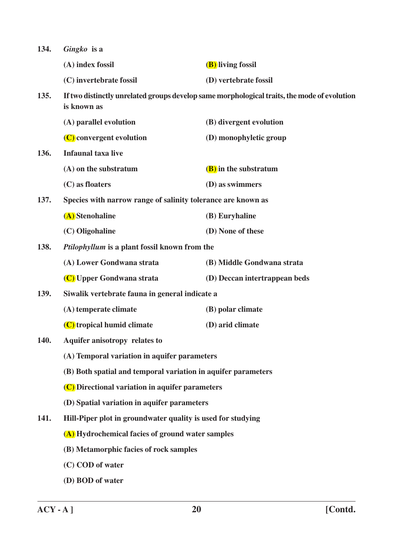| 134. | Gingko is a                                                   |                                                                                             |
|------|---------------------------------------------------------------|---------------------------------------------------------------------------------------------|
|      | (A) index fossil                                              | (B) living fossil                                                                           |
|      | (C) invertebrate fossil                                       | (D) vertebrate fossil                                                                       |
| 135. | is known as                                                   | If two distinctly unrelated groups develop same morphological traits, the mode of evolution |
|      | (A) parallel evolution                                        | (B) divergent evolution                                                                     |
|      | (C) convergent evolution                                      | (D) monophyletic group                                                                      |
| 136. | <b>Infaunal taxa live</b>                                     |                                                                                             |
|      | (A) on the substratum                                         | (B) in the substratum                                                                       |
|      | $(C)$ as floaters                                             | (D) as swimmers                                                                             |
| 137. | Species with narrow range of salinity tolerance are known as  |                                                                                             |
|      | (A) Stenohaline                                               | (B) Euryhaline                                                                              |
|      | (C) Oligohaline                                               | (D) None of these                                                                           |
| 138. | <i>Ptilophyllum</i> is a plant fossil known from the          |                                                                                             |
|      | (A) Lower Gondwana strata                                     | (B) Middle Gondwana strata                                                                  |
|      | (C) Upper Gondwana strata                                     | (D) Deccan intertrappean beds                                                               |
| 139. | Siwalik vertebrate fauna in general indicate a                |                                                                                             |
|      | (A) temperate climate                                         | (B) polar climate                                                                           |
|      | (C) tropical humid climate                                    | (D) arid climate                                                                            |
| 140. | <b>Aquifer anisotropy relates to</b>                          |                                                                                             |
|      | (A) Temporal variation in aquifer parameters                  |                                                                                             |
|      | (B) Both spatial and temporal variation in aquifer parameters |                                                                                             |
|      | (C) Directional variation in aquifer parameters               |                                                                                             |
|      | (D) Spatial variation in aquifer parameters                   |                                                                                             |
| 141. | Hill-Piper plot in groundwater quality is used for studying   |                                                                                             |
|      | (A) Hydrochemical facies of ground water samples              |                                                                                             |
|      | (B) Metamorphic facies of rock samples                        |                                                                                             |
|      | (C) COD of water                                              |                                                                                             |
|      | (D) BOD of water                                              |                                                                                             |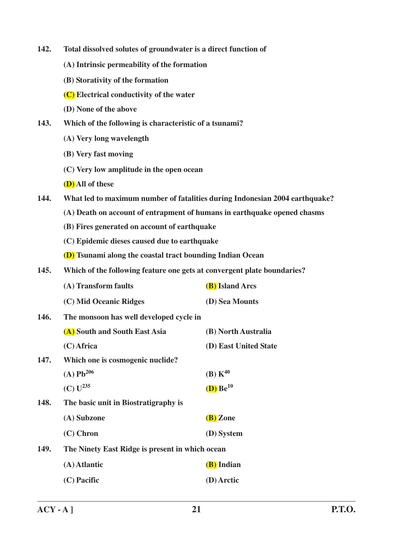| 142. | Total dissolved solutes of groundwater is a direct function of |
|------|----------------------------------------------------------------|
|------|----------------------------------------------------------------|

- **(A) Intrinsic permeability of the formation**
- **(B) Storativity of the formation**
- **(C) Electrical conductivity of the water**
- **(D) None of the above**
- **143. Which of the following is characteristic of a tsunami?**
	- **(A) Very long wavelength**
	- **(B) Very fast moving**
	- **(C) Very low amplitude in the open ocean**
	- **(D) All of these**
- **144. What led to maximum number of fatalities during Indonesian 2004 earthquake?**
	- **(A) Death on account of entrapment of humans in earthquake opened chasms**
	- **(B) Fires generated on account of earthquake**
	- **(C) Epidemic dieses caused due to earthquake**
	- **(D) Tsunami along the coastal tract bounding Indian Ocean**
- **145. Which of the following feature one gets at convergent plate boundaries?**

|      | (A) Transform faults                            | <b>(B)</b> Island Arcs |
|------|-------------------------------------------------|------------------------|
|      | (C) Mid Oceanic Ridges                          | (D) Sea Mounts         |
| 146. | The monsoon has well developed cycle in         |                        |
|      | (A) South and South East Asia                   | (B) North Australia    |
|      | $(C)$ Africa                                    | (D) East United State  |
| 147. | Which one is cosmogenic nuclide?                |                        |
|      | $(A) Pb^{206}$                                  | (B) $K^{40}$           |
|      | $(C) U^{235}$                                   | $(D)$ Be <sup>10</sup> |
| 148. | The basic unit in Biostratigraphy is            |                        |
|      | (A) Subzone                                     | (B) Zone               |
|      | $(C)$ Chron                                     | (D) System             |
| 149. | The Ninety East Ridge is present in which ocean |                        |
|      | (A) Atlantic                                    | (B) Indian             |
|      | $(C)$ Pacific                                   | (D) Arctic             |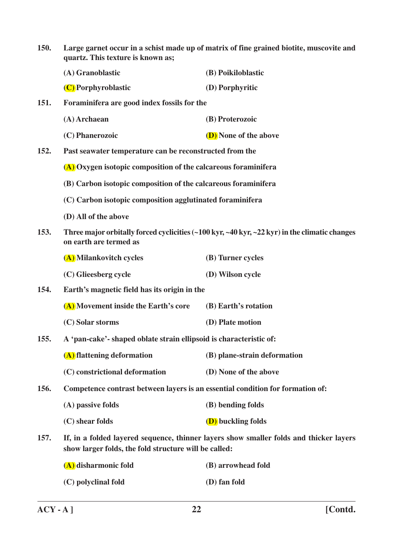| 150. | Large garnet occur in a schist made up of matrix of fine grained biotite, muscovite and<br>quartz. This texture is known as;                    |                                                                                                                         |
|------|-------------------------------------------------------------------------------------------------------------------------------------------------|-------------------------------------------------------------------------------------------------------------------------|
|      | (A) Granoblastic                                                                                                                                | (B) Poikiloblastic                                                                                                      |
|      | (C) Porphyroblastic                                                                                                                             | (D) Porphyritic                                                                                                         |
| 151. | Foraminifera are good index fossils for the                                                                                                     |                                                                                                                         |
|      | (A) Archaean                                                                                                                                    | (B) Proterozoic                                                                                                         |
|      | (C) Phanerozoic                                                                                                                                 | <b>(D)</b> None of the above                                                                                            |
| 152. | Past seawater temperature can be reconstructed from the                                                                                         |                                                                                                                         |
|      | (A) Oxygen isotopic composition of the calcareous foraminifera                                                                                  |                                                                                                                         |
|      | (B) Carbon isotopic composition of the calcareous foraminifera                                                                                  |                                                                                                                         |
|      | (C) Carbon isotopic composition agglutinated foraminifera                                                                                       |                                                                                                                         |
|      | (D) All of the above                                                                                                                            |                                                                                                                         |
| 153. | on earth are termed as                                                                                                                          | Three major orbitally forced cyclicities $(-100 \text{ kyr}, -40 \text{ kyr}, -22 \text{ kyr})$ in the climatic changes |
|      | (A) Milankovitch cycles                                                                                                                         | (B) Turner cycles                                                                                                       |
|      | (C) Glieesberg cycle                                                                                                                            | (D) Wilson cycle                                                                                                        |
| 154. | Earth's magnetic field has its origin in the                                                                                                    |                                                                                                                         |
|      | (A) Movement inside the Earth's core                                                                                                            | (B) Earth's rotation                                                                                                    |
|      | (C) Solar storms                                                                                                                                | (D) Plate motion                                                                                                        |
| 155. | A 'pan-cake'- shaped oblate strain ellipsoid is characteristic of:                                                                              |                                                                                                                         |
|      | (A) flattening deformation                                                                                                                      | (B) plane-strain deformation                                                                                            |
|      | (C) constrictional deformation                                                                                                                  | (D) None of the above                                                                                                   |
| 156. | Competence contrast between layers is an essential condition for formation of:                                                                  |                                                                                                                         |
|      | (A) passive folds                                                                                                                               | (B) bending folds                                                                                                       |
|      | (C) shear folds                                                                                                                                 | <b>(D)</b> buckling folds                                                                                               |
| 157. | If, in a folded layered sequence, thinner layers show smaller folds and thicker layers<br>show larger folds, the fold structure will be called: |                                                                                                                         |
|      | (A) disharmonic fold                                                                                                                            | (B) arrowhead fold                                                                                                      |
|      | (C) polyclinal fold                                                                                                                             | (D) fan fold                                                                                                            |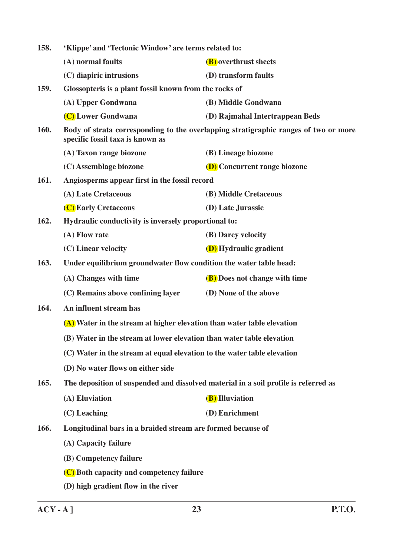| 'Klippe' and 'Tectonic Window' are terms related to:<br>158. |                                                                                     |                                                                                     |
|--------------------------------------------------------------|-------------------------------------------------------------------------------------|-------------------------------------------------------------------------------------|
|                                                              | (A) normal faults                                                                   | (B) overthrust sheets                                                               |
|                                                              | (C) diapiric intrusions                                                             | (D) transform faults                                                                |
| <b>159.</b>                                                  | Glossopteris is a plant fossil known from the rocks of                              |                                                                                     |
|                                                              | (A) Upper Gondwana                                                                  | (B) Middle Gondwana                                                                 |
|                                                              | (C) Lower Gondwana                                                                  | (D) Rajmahal Intertrappean Beds                                                     |
| <b>160.</b>                                                  | specific fossil taxa is known as                                                    | Body of strata corresponding to the overlapping stratigraphic ranges of two or more |
|                                                              | (A) Taxon range biozone                                                             | (B) Lineage biozone                                                                 |
|                                                              | (C) Assemblage biozone                                                              | <b>(D)</b> Concurrent range biozone                                                 |
| <b>161.</b>                                                  | Angiosperms appear first in the fossil record                                       |                                                                                     |
|                                                              | (A) Late Cretaceous                                                                 | (B) Middle Cretaceous                                                               |
|                                                              | (C) Early Cretaceous                                                                | (D) Late Jurassic                                                                   |
| 162.                                                         | Hydraulic conductivity is inversely proportional to:                                |                                                                                     |
|                                                              | (A) Flow rate                                                                       | (B) Darcy velocity                                                                  |
|                                                              | (C) Linear velocity                                                                 | <b>(D)</b> Hydraulic gradient                                                       |
| 163.                                                         | Under equilibrium groundwater flow condition the water table head:                  |                                                                                     |
|                                                              | (A) Changes with time                                                               | <b>(B)</b> Does not change with time                                                |
|                                                              | (C) Remains above confining layer                                                   | (D) None of the above                                                               |
| <b>164.</b>                                                  | An influent stream has                                                              |                                                                                     |
|                                                              | $(A)$ Water in the stream at higher elevation than water table elevation            |                                                                                     |
|                                                              | (B) Water in the stream at lower elevation than water table elevation               |                                                                                     |
|                                                              | (C) Water in the stream at equal elevation to the water table elevation             |                                                                                     |
|                                                              | (D) No water flows on either side                                                   |                                                                                     |
| 165.                                                         | The deposition of suspended and dissolved material in a soil profile is referred as |                                                                                     |
|                                                              | (A) Eluviation                                                                      | <b>(B)</b> Illuviation                                                              |
|                                                              | $(C)$ Leaching                                                                      | (D) Enrichment                                                                      |
| 166.                                                         | Longitudinal bars in a braided stream are formed because of                         |                                                                                     |
|                                                              | (A) Capacity failure                                                                |                                                                                     |
|                                                              | (B) Competency failure                                                              |                                                                                     |
|                                                              | (C) Both capacity and competency failure                                            |                                                                                     |
|                                                              | (D) high gradient flow in the river                                                 |                                                                                     |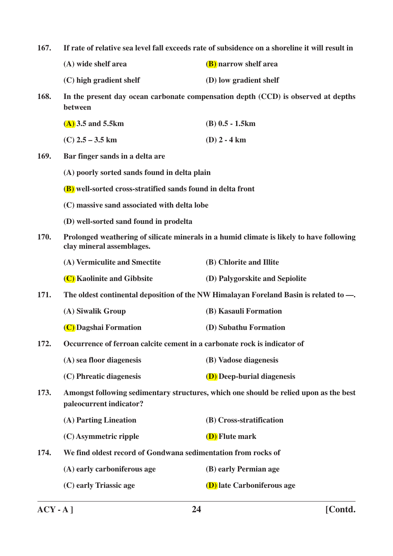| 167. If rate of relative sea level fall exceeds rate of subsidence on a shoreline it will result in |
|-----------------------------------------------------------------------------------------------------|
|-----------------------------------------------------------------------------------------------------|

| (A) wide shelf area | <b>(B)</b> narrow shelf area |
|---------------------|------------------------------|
|                     |                              |

**(C) high gradient shelf (D) low gradient shelf**

**168. In the present day ocean carbonate compensation depth (CCD) is observed at depths between**

| $(A)$ 3.5 and 5.5 km | $(B)$ 0.5 - 1.5km |
|----------------------|-------------------|
| $(C)$ 2.5 – 3.5 km   | $(D)$ 2 - 4 km    |

- **169. Bar finger sands in a delta are**
	- **(A) poorly sorted sands found in delta plain**
	- **(B) well-sorted cross-stratified sands found in delta front**
	- **(C) massive sand associated with delta lobe**
	- **(D) well-sorted sand found in prodelta**
- **170. Prolonged weathering of silicate minerals in a humid climate is likely to have following clay mineral assemblages.**

| (A) Vermiculite and Smectite | (B) Chlorite and Illite |
|------------------------------|-------------------------|
|                              |                         |

- **(C) Kaolinite and Gibbsite (D) Palygorskite and Sepiolite**
- **171. The oldest continental deposition of the NW Himalayan Foreland Basin is related to —.**

| (A) Siwalik Group | (B) Kasauli Formation |
|-------------------|-----------------------|
|                   |                       |

- **(C) Dagshai Formation (D) Subathu Formation**
- **172. Occurrence of ferroan calcite cement in a carbonate rock is indicator of**

| (A) sea floor diagenesis | (B) Vadose diagenesis |
|--------------------------|-----------------------|
|--------------------------|-----------------------|

- **(C) Phreatic diagenesis (D) Deep-burial diagenesis**
- **173. Amongst following sedimentary structures, which one should be relied upon as the best paleocurrent indicator?**

| (A) Parting Lineation | (B) Cross-stratification |
|-----------------------|--------------------------|
| $\sim$                |                          |

- **(C) Asymmetric ripple (D) Flute mark**
- **174. We find oldest record of Gondwana sedimentation from rocks of**
	- **(A) early carboniferous age (B) early Permian age**
		- **(C) early Triassic age (D) late Carboniferous age**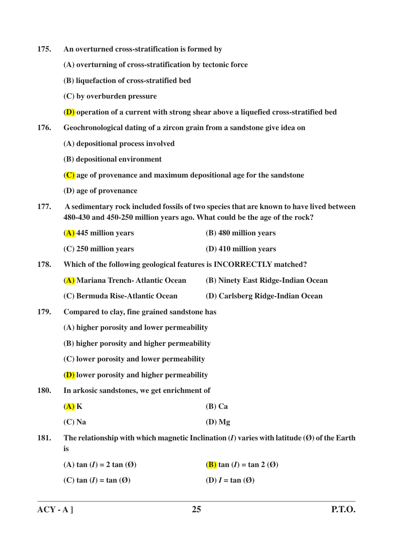- **175. An overturned cross-stratification is formed by**
	- **(A) overturning of cross-stratification by tectonic force**
	- **(B) liquefaction of cross-stratified bed**
	- **(C) by overburden pressure**

**(D) operation of a current with strong shear above a liquefied cross-stratified bed**

- **176. Geochronological dating of a zircon grain from a sandstone give idea on**
	- **(A) depositional process involved**
	- **(B) depositional environment**
	- **(C) age of provenance and maximum depositional age for the sandstone**
	- **(D) age of provenance**
- **177. A sedimentary rock included fossils of two species that are known to have lived between 480-430 and 450-250 million years ago. What could be the age of the rock?**

| $(A)$ 445 million years | (B) 480 million years |
|-------------------------|-----------------------|
| $(C)$ 250 million years | (D) 410 million years |

- **178. Which of the following geological features is INCORRECTLY matched?**
	- **(A) Mariana Trench- Atlantic Ocean (B) Ninety East Ridge-Indian Ocean**
	- **(C) Bermuda Rise-Atlantic Ocean (D) Carlsberg Ridge-Indian Ocean**
- **179. Compared to clay, fine grained sandstone has**
	- **(A) higher porosity and lower permeability**
	- **(B) higher porosity and higher permeability**
	- **(C) lower porosity and lower permeability**
	- **(D) lower porosity and higher permeability**
- **180. In arkosic sandstones, we get enrichment of**
	- **(A) K (B) Ca**
	- **(C) Na (D) Mg**
- **181. The relationship with which magnetic Inclination (***I***) varies with latitude (Ø) of the Earth is**

**(A)**  $\tan(I) = 2 \tan(\emptyset)$  **(B)**  $\tan(I) = \tan 2(\emptyset)$ **(C)**  $\tan(I) = \tan(\emptyset)$  **(D)**  $I = \tan(\emptyset)$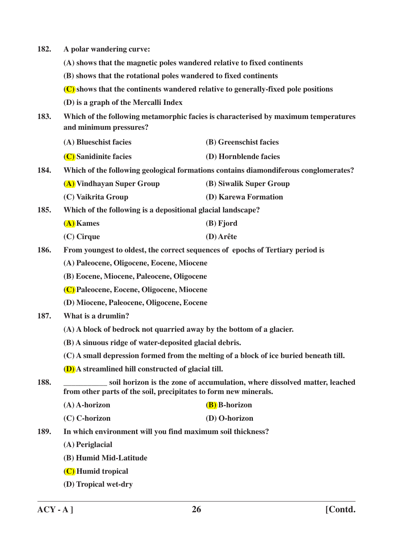| 182. | A polar wandering curve:                                                                                     |                                                                                       |  |
|------|--------------------------------------------------------------------------------------------------------------|---------------------------------------------------------------------------------------|--|
|      | (A) shows that the magnetic poles wandered relative to fixed continents                                      |                                                                                       |  |
|      | (B) shows that the rotational poles wandered to fixed continents                                             |                                                                                       |  |
|      |                                                                                                              | (C) shows that the continents wandered relative to generally-fixed pole positions     |  |
|      | (D) is a graph of the Mercalli Index                                                                         |                                                                                       |  |
| 183. | Which of the following metamorphic facies is characterised by maximum temperatures<br>and minimum pressures? |                                                                                       |  |
|      | (A) Blueschist facies                                                                                        | (B) Greenschist facies                                                                |  |
|      | (C) Sanidinite facies                                                                                        | (D) Hornblende facies                                                                 |  |
| 184. |                                                                                                              | Which of the following geological formations contains diamondiferous conglomerates?   |  |
|      | (A) Vindhayan Super Group                                                                                    | (B) Siwalik Super Group                                                               |  |
|      | (C) Vaikrita Group                                                                                           | (D) Karewa Formation                                                                  |  |
| 185. | Which of the following is a depositional glacial landscape?                                                  |                                                                                       |  |
|      | (A) Kames                                                                                                    | (B) Fjord                                                                             |  |
|      | $(C)$ Cirque                                                                                                 | (D) Arête                                                                             |  |
| 186. | From youngest to oldest, the correct sequences of epochs of Tertiary period is                               |                                                                                       |  |
|      | (A) Paleocene, Oligocene, Eocene, Miocene                                                                    |                                                                                       |  |
|      | (B) Eocene, Miocene, Paleocene, Oligocene                                                                    |                                                                                       |  |
|      | (C) Paleocene, Eocene, Oligocene, Miocene                                                                    |                                                                                       |  |
|      | (D) Miocene, Paleocene, Oligocene, Eocene                                                                    |                                                                                       |  |
| 187. | What is a drumlin?                                                                                           |                                                                                       |  |
|      | (A) A block of bedrock not quarried away by the bottom of a glacier.                                         |                                                                                       |  |
|      | (B) A sinuous ridge of water-deposited glacial debris.                                                       |                                                                                       |  |
|      |                                                                                                              | (C) A small depression formed from the melting of a block of ice buried beneath till. |  |
|      | (D) A streamlined hill constructed of glacial till.                                                          |                                                                                       |  |
| 188. | from other parts of the soil, precipitates to form new minerals.                                             | soil horizon is the zone of accumulation, where dissolved matter, leached             |  |
|      | $(A)$ A-horizon                                                                                              | (B) B-horizon                                                                         |  |
|      | $(C)$ C-horizon                                                                                              | (D) O-horizon                                                                         |  |
| 189. | In which environment will you find maximum soil thickness?                                                   |                                                                                       |  |
|      | (A) Periglacial                                                                                              |                                                                                       |  |
|      | (B) Humid Mid-Latitude                                                                                       |                                                                                       |  |
|      | (C) Humid tropical                                                                                           |                                                                                       |  |
|      | (D) Tropical wet-dry                                                                                         |                                                                                       |  |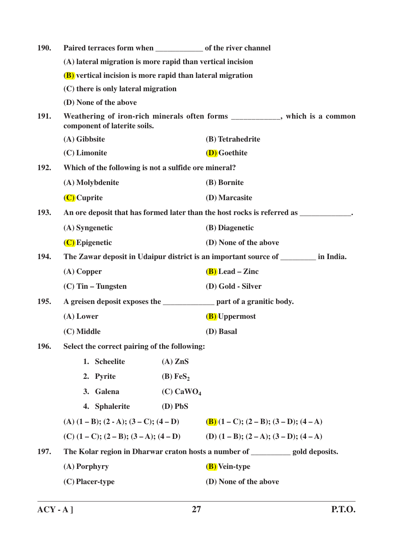| <b>190.</b> |                                                                   |                         |                                                                                                        |
|-------------|-------------------------------------------------------------------|-------------------------|--------------------------------------------------------------------------------------------------------|
|             | (A) lateral migration is more rapid than vertical incision        |                         |                                                                                                        |
|             | <b>(B)</b> vertical incision is more rapid than lateral migration |                         |                                                                                                        |
|             | (C) there is only lateral migration                               |                         |                                                                                                        |
|             | (D) None of the above                                             |                         |                                                                                                        |
| 191.        | component of laterite soils.                                      |                         | Weathering of iron-rich minerals often forms __________, which is a common                             |
|             | (A) Gibbsite                                                      |                         | (B) Tetrahedrite                                                                                       |
|             | (C) Limonite                                                      |                         | (D) Goethite                                                                                           |
| 192.        | Which of the following is not a sulfide ore mineral?              |                         |                                                                                                        |
|             | (A) Molybdenite                                                   |                         | (B) Bornite                                                                                            |
|             | (C) Cuprite                                                       |                         | (D) Marcasite                                                                                          |
| <b>193.</b> |                                                                   |                         | An ore deposit that has formed later than the host rocks is referred as ___________.                   |
|             | (A) Syngenetic                                                    |                         | (B) Diagenetic                                                                                         |
|             | (C) Epigenetic                                                    |                         | (D) None of the above                                                                                  |
| 194.        |                                                                   |                         | The Zawar deposit in Udaipur district is an important source of _________ in India.                    |
|             | $(A)$ Copper                                                      |                         | $(B)$ Lead – Zinc                                                                                      |
|             | $(C)$ Tin – Tungsten                                              |                         | (D) Gold - Silver                                                                                      |
| 195.        |                                                                   |                         | A greisen deposit exposes the _____________ part of a granitic body.                                   |
|             | $(A)$ Lower                                                       |                         | (B) Uppermost                                                                                          |
|             | (C) Middle                                                        |                         | (D) Basal                                                                                              |
| 196.        | Select the correct pairing of the following:                      |                         |                                                                                                        |
|             | 1. Scheelite                                                      | (A) ZnS                 |                                                                                                        |
|             | 2. Pyrite                                                         | $(B)$ FeS <sub>2</sub>  |                                                                                                        |
|             | 3. Galena                                                         | $(C)$ CaWO <sub>4</sub> |                                                                                                        |
|             | 4. Sphalerite                                                     | $(D)$ PbS               |                                                                                                        |
|             |                                                                   |                         | (A) $(1 - B)$ ; $(2 - A)$ ; $(3 - C)$ ; $(4 - D)$<br>(B) $(1 - C)$ ; $(2 - B)$ ; $(3 - D)$ ; $(4 - A)$ |
|             |                                                                   |                         | (C) $(1 - C)$ ; $(2 - B)$ ; $(3 - A)$ ; $(4 - D)$<br>(D) $(1 - B)$ ; $(2 - A)$ ; $(3 - D)$ ; $(4 - A)$ |
| 197.        |                                                                   |                         | The Kolar region in Dharwar craton hosts a number of ___________ gold deposits.                        |
|             | (A) Porphyry                                                      |                         | (B) Vein-type                                                                                          |
|             | $(C)$ Placer-type                                                 |                         | (D) None of the above                                                                                  |
|             |                                                                   |                         |                                                                                                        |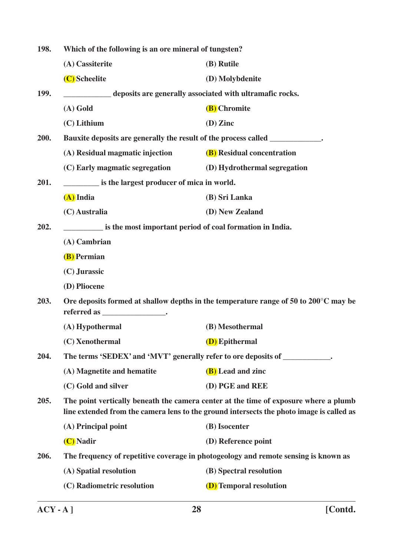| 198.                                                                                                                                                       | Which of the following is an ore mineral of tungsten?                                                                                                                            |                                                                                     |  |
|------------------------------------------------------------------------------------------------------------------------------------------------------------|----------------------------------------------------------------------------------------------------------------------------------------------------------------------------------|-------------------------------------------------------------------------------------|--|
|                                                                                                                                                            | (A) Cassiterite                                                                                                                                                                  | (B) Rutile                                                                          |  |
|                                                                                                                                                            | (C) Scheelite                                                                                                                                                                    | (D) Molybdenite                                                                     |  |
| 199.                                                                                                                                                       | deposits are generally associated with ultramafic rocks.                                                                                                                         |                                                                                     |  |
|                                                                                                                                                            | $(A)$ Gold                                                                                                                                                                       | (B) Chromite                                                                        |  |
|                                                                                                                                                            | (C) Lithium                                                                                                                                                                      | $(D)$ Zinc                                                                          |  |
| 200.                                                                                                                                                       | Bauxite deposits are generally the result of the process called ___________.                                                                                                     |                                                                                     |  |
|                                                                                                                                                            | (A) Residual magmatic injection                                                                                                                                                  | <b>(B)</b> Residual concentration                                                   |  |
|                                                                                                                                                            | (C) Early magmatic segregation                                                                                                                                                   | (D) Hydrothermal segregation                                                        |  |
| 201.                                                                                                                                                       | is the largest producer of mica in world.                                                                                                                                        |                                                                                     |  |
|                                                                                                                                                            | $(A)$ India                                                                                                                                                                      | (B) Sri Lanka                                                                       |  |
|                                                                                                                                                            | (C) Australia                                                                                                                                                                    | (D) New Zealand                                                                     |  |
| 202.                                                                                                                                                       | is the most important period of coal formation in India.                                                                                                                         |                                                                                     |  |
|                                                                                                                                                            | (A) Cambrian                                                                                                                                                                     |                                                                                     |  |
|                                                                                                                                                            | <b>(B)</b> Permian                                                                                                                                                               |                                                                                     |  |
|                                                                                                                                                            | (C) Jurassic                                                                                                                                                                     |                                                                                     |  |
|                                                                                                                                                            | (D) Pliocene                                                                                                                                                                     |                                                                                     |  |
| Ore deposits formed at shallow depths in the temperature range of 50 to $200^{\circ}$ C may be<br>203.<br>$referred as \_\_\_\_\_\_\_\_\_\_\_\_\_\_\_\_\_$ |                                                                                                                                                                                  |                                                                                     |  |
|                                                                                                                                                            | (A) Hypothermal                                                                                                                                                                  | (B) Mesothermal                                                                     |  |
|                                                                                                                                                            | (C) Xenothermal                                                                                                                                                                  | <b>(D)</b> Epithermal                                                               |  |
| 204.                                                                                                                                                       |                                                                                                                                                                                  | The terms 'SEDEX' and 'MVT' generally refer to ore deposits of ___________.         |  |
|                                                                                                                                                            | (A) Magnetite and hematite                                                                                                                                                       | <b>(B)</b> Lead and zinc                                                            |  |
|                                                                                                                                                            | (C) Gold and silver                                                                                                                                                              | (D) PGE and REE                                                                     |  |
| 205.                                                                                                                                                       | The point vertically beneath the camera center at the time of exposure where a plumb<br>line extended from the camera lens to the ground intersects the photo image is called as |                                                                                     |  |
|                                                                                                                                                            | (A) Principal point                                                                                                                                                              | (B) Isocenter                                                                       |  |
|                                                                                                                                                            | (C) Nadir                                                                                                                                                                        | (D) Reference point                                                                 |  |
| 206.                                                                                                                                                       |                                                                                                                                                                                  | The frequency of repetitive coverage in photogeology and remote sensing is known as |  |
|                                                                                                                                                            | (A) Spatial resolution                                                                                                                                                           | (B) Spectral resolution                                                             |  |
|                                                                                                                                                            | (C) Radiometric resolution                                                                                                                                                       | <b>(D)</b> Temporal resolution                                                      |  |
|                                                                                                                                                            |                                                                                                                                                                                  |                                                                                     |  |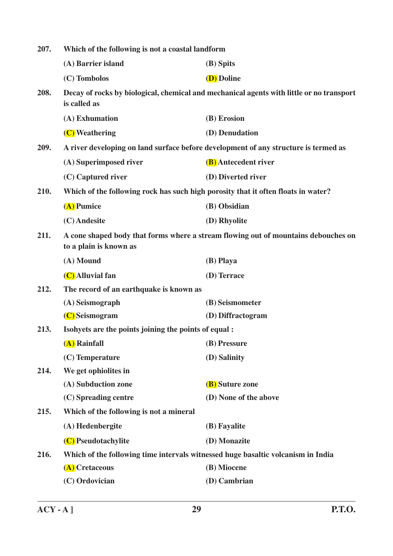| 207. | Which of the following is not a coastal landform                                  |                                                                                          |
|------|-----------------------------------------------------------------------------------|------------------------------------------------------------------------------------------|
|      | (A) Barrier island                                                                | (B) Spits                                                                                |
|      | (C) Tombolos                                                                      | (D) Doline                                                                               |
| 208. | is called as                                                                      | Decay of rocks by biological, chemical and mechanical agents with little or no transport |
|      | (A) Exhumation                                                                    | (B) Erosion                                                                              |
|      | (C) Weathering                                                                    | (D) Denudation                                                                           |
| 209. |                                                                                   | A river developing on land surface before development of any structure is termed as      |
|      | (A) Superimposed river                                                            | (B) Antecedent river                                                                     |
|      | (C) Captured river                                                                | (D) Diverted river                                                                       |
| 210. | Which of the following rock has such high porosity that it often floats in water? |                                                                                          |
|      | (A) Pumice                                                                        | (B) Obsidian                                                                             |
|      | (C) Andesite                                                                      | (D) Rhyolite                                                                             |
| 211. | to a plain is known as                                                            | A cone shaped body that forms where a stream flowing out of mountains debouches on       |
|      | (A) Mound                                                                         | (B) Playa                                                                                |
|      | (C) Alluvial fan                                                                  | (D) Terrace                                                                              |
| 212. | The record of an earthquake is known as                                           |                                                                                          |
|      | (A) Seismograph                                                                   | (B) Seismometer                                                                          |
|      | (C) Seismogram                                                                    | (D) Diffractogram                                                                        |
| 213. | Isohyets are the points joining the points of equal :                             |                                                                                          |
|      | (A) Rainfall                                                                      | (B) Pressure                                                                             |
|      | (C) Temperature                                                                   | (D) Salinity                                                                             |
| 214. | We get ophiolites in                                                              |                                                                                          |
|      | (A) Subduction zone                                                               | <b>(B)</b> Suture zone                                                                   |
|      | (C) Spreading centre                                                              | (D) None of the above                                                                    |
| 215. | Which of the following is not a mineral                                           |                                                                                          |
|      | (A) Hedenbergite                                                                  | (B) Fayalite                                                                             |
|      | (C) Pseudotachylite                                                               | (D) Monazite                                                                             |
| 216. | Which of the following time intervals witnessed huge basaltic volcanism in India  |                                                                                          |
|      | (A) Cretaceous                                                                    | (B) Miocene                                                                              |
|      | (C) Ordovician                                                                    | (D) Cambrian                                                                             |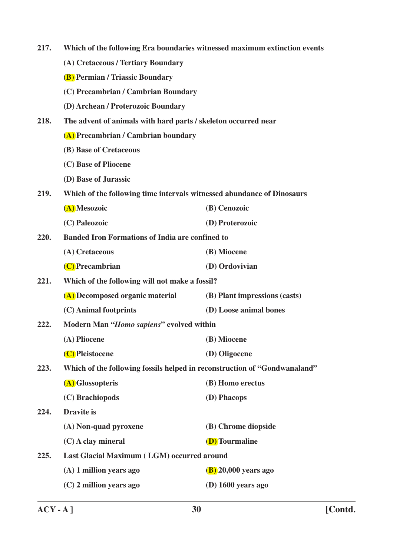| 217. | Which of the following Era boundaries witnessed maximum extinction events |                               |
|------|---------------------------------------------------------------------------|-------------------------------|
|      | (A) Cretaceous / Tertiary Boundary                                        |                               |
|      | <b>(B)</b> Permian / Triassic Boundary                                    |                               |
|      | (C) Precambrian / Cambrian Boundary                                       |                               |
|      | (D) Archean / Proterozoic Boundary                                        |                               |
| 218. | The advent of animals with hard parts / skeleton occurred near            |                               |
|      | (A) Precambrian / Cambrian boundary                                       |                               |
|      | (B) Base of Cretaceous                                                    |                               |
|      | (C) Base of Pliocene                                                      |                               |
|      | (D) Base of Jurassic                                                      |                               |
| 219. | Which of the following time intervals witnessed abundance of Dinosaurs    |                               |
|      | (A) Mesozoic                                                              | (B) Cenozoic                  |
|      | (C) Paleozoic                                                             | (D) Proterozoic               |
| 220. | <b>Banded Iron Formations of India are confined to</b>                    |                               |
|      | (A) Cretaceous                                                            | (B) Miocene                   |
|      | (C) Precambrian                                                           | (D) Ordovivian                |
| 221. | Which of the following will not make a fossil?                            |                               |
|      | (A) Decomposed organic material                                           | (B) Plant impressions (casts) |
|      | (C) Animal footprints                                                     | (D) Loose animal bones        |
| 222. | Modern Man "Homo sapiens" evolved within                                  |                               |
|      | (A) Pliocene                                                              | (B) Miocene                   |
|      | (C) Pleistocene                                                           | (D) Oligocene                 |
| 223. | Which of the following fossils helped in reconstruction of "Gondwanaland" |                               |
|      | (A) Glossopteris                                                          | (B) Homo erectus              |
|      | (C) Brachiopods                                                           | (D) Phacops                   |
| 224. | <b>Dravite is</b>                                                         |                               |
|      | (A) Non-quad pyroxene                                                     | (B) Chrome diopside           |
|      | $(C)$ A clay mineral                                                      | <b>(D)</b> Tourmaline         |
| 225. | Last Glacial Maximum (LGM) occurred around                                |                               |
|      | (A) 1 million years ago                                                   | $(B)$ 20,000 years ago        |
|      | $(C)$ 2 million years ago                                                 | $(D)$ 1600 years ago          |
|      |                                                                           |                               |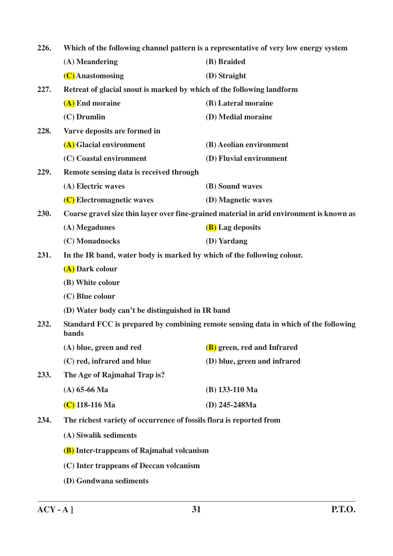**226. Which of the following channel pattern is a representative of very low energy system (A) Meandering (B) Braided (C) Anastomosing (D) Straight 227. Retreat of glacial snout is marked by which of the following landform (A) End moraine (B) Lateral moraine (C) Drumlin (D) Medial moraine 228. Varve deposits are formed in (A) Glacial environment (B) Aeolian environment (C) Coastal environment (D) Fluvial environment 229. Remote sensing data is received through (A) Electric waves (B) Sound waves (C) Electromagnetic waves (D) Magnetic waves 230. Coarse gravel size thin layer over fine-grained material in arid environment is known as (A) Megadunes (B) Lag deposits (C) Monadnocks (D) Yardang 231. In the IR band, water body is marked by which of the following colour. (A) Dark colour (B) White colour (C) Blue colour (D) Water body can't be distinguished in IR band 232. Standard FCC is prepared by combining remote sensing data in which of the following bands (A) blue, green and red (B) green, red and Infrared (C) red, infrared and blue (D) blue, green and infrared 233. The Age of Rajmahal Trap is? (A) 65-66 Ma (B) 133-110 Ma (C) 118-116 Ma (D) 245-248Ma 234. The richest variety of occurrence of fossils flora is reported from (A) Siwalik sediments (B) Inter-trappeans of Rajmahal volcanism (C) Inter trappeans of Deccan volcanism (D) Gondwana sediments**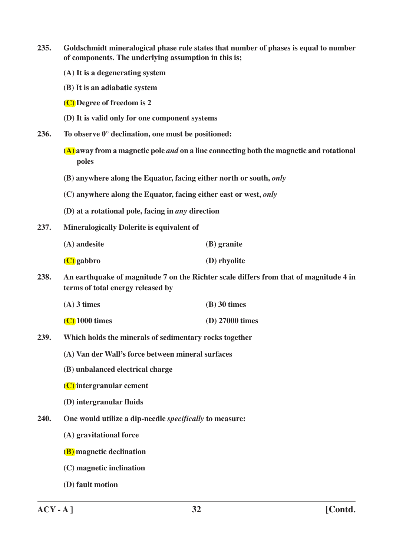- **235. Goldschmidt mineralogical phase rule states that number of phases is equal to number of components. The underlying assumption in this is;**
	- **(A) It is a degenerating system**
	- **(B) It is an adiabatic system**
	- **(C) Degree of freedom is 2**
	- **(D) It is valid only for one component systems**
- **236. To observe 0° declination, one must be positioned:**
	- **(A) away from a magnetic pole** *and* **on a line connecting both the magnetic and rotational poles**
	- **(B) anywhere along the Equator, facing either north or south,** *only*
	- **(C) anywhere along the Equator, facing either east or west,** *only*
	- **(D) at a rotational pole, facing in** *any* **direction**
- **237. Mineralogically Dolerite is equivalent of**
	- **(A) andesite (B) granite (C) gabbro (D) rhyolite**
- **238. An earthquake of magnitude 7 on the Richter scale differs from that of magnitude 4 in terms of total energy released by**
	- **(A) 3 times (B) 30 times**
	- **(C) 1000 times (D) 27000 times**
- **239. Which holds the minerals of sedimentary rocks together**
	- **(A) Van der Wall's force between mineral surfaces**
	- **(B) unbalanced electrical charge**
	- **(C) intergranular cement**
	- **(D) intergranular fluids**
- **240. One would utilize a dip-needle** *specifically* **to measure:**
	- **(A) gravitational force**
	- **(B) magnetic declination**
	- **(C) magnetic inclination**
	- **(D) fault motion**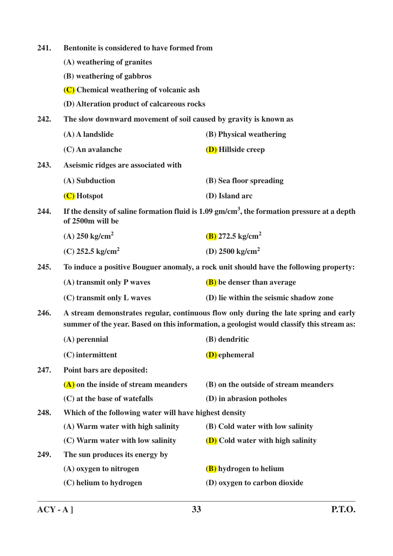| 241. | Bentonite is considered to have formed from                                                                                                                                       |                                                                                       |
|------|-----------------------------------------------------------------------------------------------------------------------------------------------------------------------------------|---------------------------------------------------------------------------------------|
|      | (A) weathering of granites                                                                                                                                                        |                                                                                       |
|      | (B) weathering of gabbros                                                                                                                                                         |                                                                                       |
|      | (C) Chemical weathering of volcanic ash                                                                                                                                           |                                                                                       |
|      | (D) Alteration product of calcareous rocks                                                                                                                                        |                                                                                       |
| 242. | The slow downward movement of soil caused by gravity is known as                                                                                                                  |                                                                                       |
|      | $(A)$ A landslide                                                                                                                                                                 | (B) Physical weathering                                                               |
|      | $(C)$ An avalanche                                                                                                                                                                | <b>(D)</b> Hillside creep                                                             |
| 243. | Aseismic ridges are associated with                                                                                                                                               |                                                                                       |
|      | (A) Subduction                                                                                                                                                                    | (B) Sea floor spreading                                                               |
|      | (C) Hotspot                                                                                                                                                                       | (D) Island arc                                                                        |
| 244. | If the density of saline formation fluid is $1.09 \text{ gm/cm}^3$ , the formation pressure at a depth<br>of 2500m will be                                                        |                                                                                       |
|      | (A) $250 \text{ kg/cm}^2$                                                                                                                                                         | $(B)$ 272.5 kg/cm <sup>2</sup>                                                        |
|      | (C) 252.5 $kg/cm2$                                                                                                                                                                | (D) $2500 \text{ kg/cm}^2$                                                            |
| 245. |                                                                                                                                                                                   | To induce a positive Bouguer anomaly, a rock unit should have the following property: |
|      | (A) transmit only P waves                                                                                                                                                         | <b>(B)</b> be denser than average                                                     |
|      | (C) transmit only L waves                                                                                                                                                         | (D) lie within the seismic shadow zone                                                |
| 246. | A stream demonstrates regular, continuous flow only during the late spring and early<br>summer of the year. Based on this information, a geologist would classify this stream as: |                                                                                       |
|      | (A) perennial                                                                                                                                                                     | (B) dendritic                                                                         |
|      | (C) intermittent                                                                                                                                                                  | (D) ephemeral                                                                         |
| 247. | Point bars are deposited:                                                                                                                                                         |                                                                                       |
|      | (A) on the inside of stream meanders                                                                                                                                              | (B) on the outside of stream meanders                                                 |
|      | (C) at the base of watefalls                                                                                                                                                      | (D) in abrasion potholes                                                              |
| 248. | Which of the following water will have highest density                                                                                                                            |                                                                                       |
|      | (A) Warm water with high salinity                                                                                                                                                 | (B) Cold water with low salinity                                                      |
|      | (C) Warm water with low salinity                                                                                                                                                  | <b>(D)</b> Cold water with high salinity                                              |
| 249. | The sun produces its energy by                                                                                                                                                    |                                                                                       |
|      | (A) oxygen to nitrogen                                                                                                                                                            | (B) hydrogen to helium                                                                |
|      | (C) helium to hydrogen                                                                                                                                                            | (D) oxygen to carbon dioxide                                                          |
|      |                                                                                                                                                                                   |                                                                                       |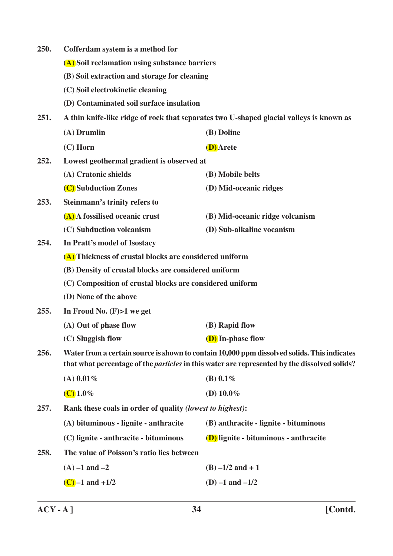| 250.                                                                                                                                                                                                       | Cofferdam system is a method for                         |                                              |  |
|------------------------------------------------------------------------------------------------------------------------------------------------------------------------------------------------------------|----------------------------------------------------------|----------------------------------------------|--|
|                                                                                                                                                                                                            | (A) Soil reclamation using substance barriers            |                                              |  |
|                                                                                                                                                                                                            | (B) Soil extraction and storage for cleaning             |                                              |  |
|                                                                                                                                                                                                            | (C) Soil electrokinetic cleaning                         |                                              |  |
|                                                                                                                                                                                                            | (D) Contaminated soil surface insulation                 |                                              |  |
| 251.<br>A thin knife-like ridge of rock that separates two U-shaped glacial valleys is known as                                                                                                            |                                                          |                                              |  |
|                                                                                                                                                                                                            | $(A)$ Drumlin                                            | (B) Doline                                   |  |
|                                                                                                                                                                                                            | $(C)$ Horn                                               | (D) Arete                                    |  |
| 252.                                                                                                                                                                                                       | Lowest geothermal gradient is observed at                |                                              |  |
|                                                                                                                                                                                                            | (A) Cratonic shields                                     | (B) Mobile belts                             |  |
|                                                                                                                                                                                                            | (C) Subduction Zones                                     | (D) Mid-oceanic ridges                       |  |
| 253.                                                                                                                                                                                                       | Steinmann's trinity refers to                            |                                              |  |
|                                                                                                                                                                                                            | (A) A fossilised oceanic crust                           | (B) Mid-oceanic ridge volcanism              |  |
|                                                                                                                                                                                                            | (C) Subduction volcanism                                 | (D) Sub-alkaline vocanism                    |  |
| 254.                                                                                                                                                                                                       | In Pratt's model of Isostacy                             |                                              |  |
|                                                                                                                                                                                                            | (A) Thickness of crustal blocks are considered uniform   |                                              |  |
|                                                                                                                                                                                                            | (B) Density of crustal blocks are considered uniform     |                                              |  |
|                                                                                                                                                                                                            | (C) Composition of crustal blocks are considered uniform |                                              |  |
|                                                                                                                                                                                                            | (D) None of the above                                    |                                              |  |
| 255.                                                                                                                                                                                                       | In Froud No. $(F) > 1$ we get                            |                                              |  |
|                                                                                                                                                                                                            | (A) Out of phase flow                                    | (B) Rapid flow                               |  |
|                                                                                                                                                                                                            | (C) Sluggish flow                                        | <b>(D)</b> In-phase flow                     |  |
| Water from a certain source is shown to contain 10,000 ppm dissolved solids. This indicates<br>256.<br>that what percentage of the <i>particles</i> in this water are represented by the dissolved solids? |                                                          |                                              |  |
|                                                                                                                                                                                                            | $(A)$ 0.01%                                              | (B) $0.1\%$                                  |  |
|                                                                                                                                                                                                            | $(C)$ 1.0%                                               | (D) $10.0\%$                                 |  |
| Rank these coals in order of quality (lowest to highest):<br>257.                                                                                                                                          |                                                          |                                              |  |
|                                                                                                                                                                                                            | (A) bituminous - lignite - anthracite                    | (B) anthracite - lignite - bituminous        |  |
|                                                                                                                                                                                                            | (C) lignite - anthracite - bituminous                    | <b>(D)</b> lignite - bituminous - anthracite |  |
| 258.                                                                                                                                                                                                       | The value of Poisson's ratio lies between                |                                              |  |
|                                                                                                                                                                                                            | $(A) -1$ and $-2$                                        | $(B) -1/2$ and + 1                           |  |
|                                                                                                                                                                                                            | $(C)$ –1 and +1/2                                        | $(D) - 1$ and $-1/2$                         |  |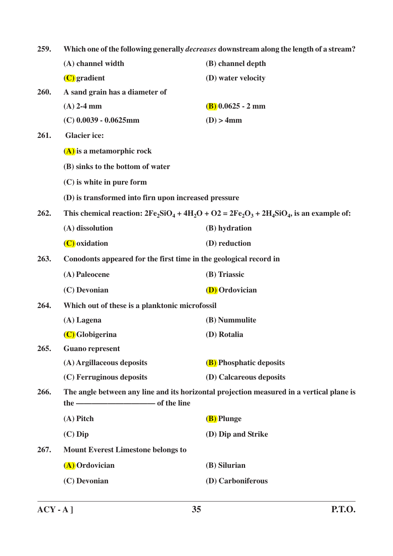**259. Which one of the following generally** *decreases* **downstream along the length of a stream? (A) channel width (B) channel depth (C) gradient (D) water velocity 260. A sand grain has a diameter of (A) 2-4 mm (B) 0.0625 - 2 mm (C) 0.0039 - 0.0625mm (D) > 4mm 261. Glacier ice: (A) is a metamorphic rock (B) sinks to the bottom of water (C) is white in pure form (D) is transformed into firn upon increased pressure 262.** This chemical reaction:  $2Fe_2SiO_4 + 4H_2O + O2 = 2Fe_2O_3 + 2H_4SiO_4$ , is an example of: **(A) dissolution (B) hydration (C) oxidation (D) reduction 263. Conodonts appeared for the first time in the geological record in (A) Paleocene (B) Triassic (C) Devonian (D) Ordovician 264. Which out of these is a planktonic microfossil (A) Lagena (B) Nummulite (C) Globigerina (D) Rotalia 265. Guano represent (A) Argillaceous deposits (B) Phosphatic deposits (C) Ferruginous deposits (D) Calcareous deposits 266. The angle between any line and its horizontal projection measured in a vertical plane is the —————————— of the line (A) Pitch (B) Plunge (C) Dip (D) Dip and Strike 267. Mount Everest Limestone belongs to (A) Ordovician (B) Silurian (C) Devonian (D) Carboniferous**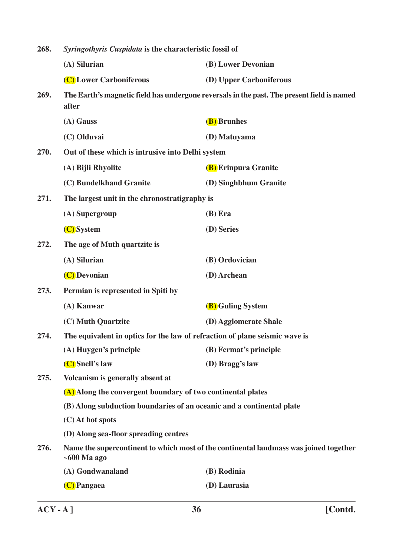| 268.                                     | Syringothyris Cuspidata is the characteristic fossil of                                                |                             |  |
|------------------------------------------|--------------------------------------------------------------------------------------------------------|-----------------------------|--|
|                                          | (A) Silurian                                                                                           | (B) Lower Devonian          |  |
|                                          | (C) Lower Carboniferous                                                                                | (D) Upper Carboniferous     |  |
| 269.                                     | The Earth's magnetic field has undergone reversals in the past. The present field is named<br>after    |                             |  |
|                                          | (A) Gauss                                                                                              | (B) Brunhes                 |  |
|                                          | (C) Olduvai                                                                                            | (D) Matuyama                |  |
| 270.                                     | Out of these which is intrusive into Delhi system                                                      |                             |  |
|                                          | (A) Bijli Rhyolite                                                                                     | <b>(B)</b> Erinpura Granite |  |
|                                          | (C) Bundelkhand Granite                                                                                | (D) Singhbhum Granite       |  |
| 271.                                     | The largest unit in the chronostratigraphy is                                                          |                             |  |
|                                          | (A) Supergroup                                                                                         | $(B)$ Era                   |  |
|                                          | (C) System                                                                                             | (D) Series                  |  |
| 272.                                     | The age of Muth quartzite is                                                                           |                             |  |
|                                          | (A) Silurian                                                                                           | (B) Ordovician              |  |
|                                          | (C) Devonian                                                                                           | (D) Archean                 |  |
| 273.                                     | Permian is represented in Spiti by                                                                     |                             |  |
|                                          | (A) Kanwar                                                                                             | <b>(B)</b> Guling System    |  |
|                                          | (C) Muth Quartzite                                                                                     | (D) Agglomerate Shale       |  |
| 274.                                     | The equivalent in optics for the law of refraction of plane seismic wave is                            |                             |  |
|                                          | (A) Huygen's principle                                                                                 | (B) Fermat's principle      |  |
|                                          | (C) Snell's law                                                                                        | (D) Bragg's law             |  |
| Volcanism is generally absent at<br>275. |                                                                                                        |                             |  |
|                                          | (A) Along the convergent boundary of two continental plates                                            |                             |  |
|                                          | (B) Along subduction boundaries of an oceanic and a continental plate                                  |                             |  |
|                                          | $(C)$ At hot spots                                                                                     |                             |  |
|                                          | (D) Along sea-floor spreading centres                                                                  |                             |  |
| 276.                                     | Name the supercontinent to which most of the continental landmass was joined together<br>$~500$ Ma ago |                             |  |
|                                          | (A) Gondwanaland                                                                                       | (B) Rodinia                 |  |
|                                          | (C) Pangaea                                                                                            | (D) Laurasia                |  |
|                                          |                                                                                                        |                             |  |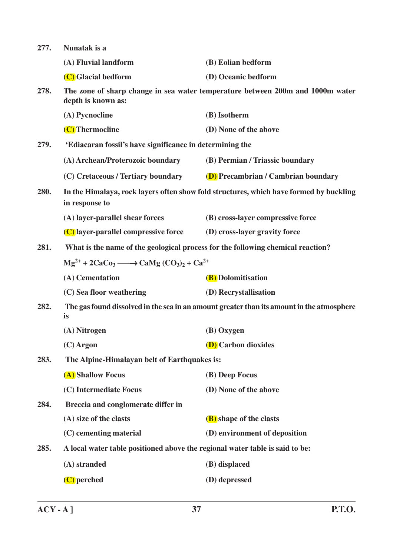| 277.                                                                                                             | Nunatak is a                                                                                             |                                            |
|------------------------------------------------------------------------------------------------------------------|----------------------------------------------------------------------------------------------------------|--------------------------------------------|
|                                                                                                                  | (A) Fluvial landform                                                                                     | (B) Eolian bedform                         |
|                                                                                                                  | (C) Glacial bedform                                                                                      | (D) Oceanic bedform                        |
| 278.                                                                                                             | The zone of sharp change in sea water temperature between 200m and 1000m water<br>depth is known as:     |                                            |
|                                                                                                                  | (A) Pycnocline                                                                                           | (B) Isotherm                               |
|                                                                                                                  | (C) Thermocline                                                                                          | (D) None of the above                      |
| 279.<br>'Ediacaran fossil's have significance in determining the                                                 |                                                                                                          |                                            |
|                                                                                                                  | (A) Archean/Proterozoic boundary                                                                         | (B) Permian / Triassic boundary            |
|                                                                                                                  | (C) Cretaceous / Tertiary boundary                                                                       | <b>(D)</b> Precambrian / Cambrian boundary |
| In the Himalaya, rock layers often show fold structures, which have formed by buckling<br>280.<br>in response to |                                                                                                          |                                            |
|                                                                                                                  | (A) layer-parallel shear forces                                                                          | (B) cross-layer compressive force          |
|                                                                                                                  | (C) layer-parallel compressive force                                                                     | (D) cross-layer gravity force              |
| What is the name of the geological process for the following chemical reaction?<br>281.                          |                                                                                                          |                                            |
|                                                                                                                  | $Mg^{2+}$ + 2CaCo <sub>3</sub> $\longrightarrow$ CaMg (CO <sub>3</sub> ) <sub>2</sub> + Ca <sup>2+</sup> |                                            |
|                                                                                                                  | (A) Cementation                                                                                          | (B) Dolomitisation                         |
|                                                                                                                  | (C) Sea floor weathering                                                                                 | (D) Recrystallisation                      |
| 282.                                                                                                             | The gas found dissolved in the sea in an amount greater than its amount in the atmosphere<br>is          |                                            |
|                                                                                                                  | (A) Nitrogen                                                                                             | (B) Oxygen                                 |
|                                                                                                                  | $(C)$ Argon                                                                                              | <b>(D)</b> Carbon dioxides                 |
| 283.                                                                                                             | The Alpine-Himalayan belt of Earthquakes is:                                                             |                                            |
|                                                                                                                  | (A) Shallow Focus                                                                                        | (B) Deep Focus                             |
|                                                                                                                  | (C) Intermediate Focus                                                                                   | (D) None of the above                      |
| 284.                                                                                                             | Breccia and conglomerate differ in                                                                       |                                            |
|                                                                                                                  |                                                                                                          |                                            |
|                                                                                                                  | (A) size of the clasts                                                                                   | (B) shape of the clasts                    |
|                                                                                                                  | (C) cementing material                                                                                   | (D) environment of deposition              |
| 285.                                                                                                             | A local water table positioned above the regional water table is said to be:                             |                                            |
|                                                                                                                  | (A) stranded                                                                                             | (B) displaced                              |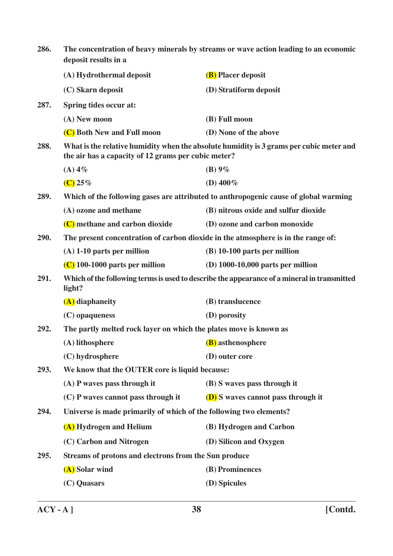| 286. | The concentration of heavy minerals by streams or wave action leading to an economic<br>deposit results in a                                   |                                           |
|------|------------------------------------------------------------------------------------------------------------------------------------------------|-------------------------------------------|
|      | (A) Hydrothermal deposit                                                                                                                       | <b>(B)</b> Placer deposit                 |
|      | (C) Skarn deposit                                                                                                                              | (D) Stratiform deposit                    |
| 287. | Spring tides occur at:                                                                                                                         |                                           |
|      | (A) New moon                                                                                                                                   | (B) Full moon                             |
|      | (C) Both New and Full moon                                                                                                                     | (D) None of the above                     |
| 288. | What is the relative humidity when the absolute humidity is 3 grams per cubic meter and<br>the air has a capacity of 12 grams per cubic meter? |                                           |
|      | $(A)$ 4%                                                                                                                                       | $(B)$ 9%                                  |
|      | $\left( \text{C} \right)$ 25%                                                                                                                  | (D) $400\%$                               |
| 289. | Which of the following gases are attributed to anthropogenic cause of global warming                                                           |                                           |
|      | (A) ozone and methane                                                                                                                          | (B) nitrous oxide and sulfur dioxide      |
|      | (C) methane and carbon dioxide                                                                                                                 | (D) ozone and carbon monoxide             |
| 290. | The present concentration of carbon dioxide in the atmosphere is in the range of:                                                              |                                           |
|      | $(A)$ 1-10 parts per million                                                                                                                   | (B) 10-100 parts per million              |
|      | $\left(\frac{C}{C}\right)$ 100-1000 parts per million                                                                                          | $(D)$ 1000-10,000 parts per million       |
| 291. | Which of the following terms is used to describe the appearance of a mineral in transmitted<br>light?                                          |                                           |
|      | (A) diaphaneity                                                                                                                                | (B) translucence                          |
|      | (C) opaqueness                                                                                                                                 | (D) porosity                              |
| 292. | The partly melted rock layer on which the plates move is known as                                                                              |                                           |
|      | (A) lithosphere                                                                                                                                | <b>(B)</b> asthenosphere                  |
|      | (C) hydrosphere                                                                                                                                | (D) outer core                            |
| 293. | We know that the OUTER core is liquid because:                                                                                                 |                                           |
|      | (A) P waves pass through it                                                                                                                    | (B) S waves pass through it               |
|      | (C) P waves cannot pass through it                                                                                                             | <b>(D)</b> S waves cannot pass through it |
| 294. | Universe is made primarily of which of the following two elements?                                                                             |                                           |
|      | (A) Hydrogen and Helium                                                                                                                        | (B) Hydrogen and Carbon                   |
|      | (C) Carbon and Nitrogen                                                                                                                        | (D) Silicon and Oxygen                    |
| 295. | Streams of protons and electrons from the Sun produce                                                                                          |                                           |
|      | (A) Solar wind                                                                                                                                 | (B) Prominences                           |
|      | (C) Quasars                                                                                                                                    | (D) Spicules                              |